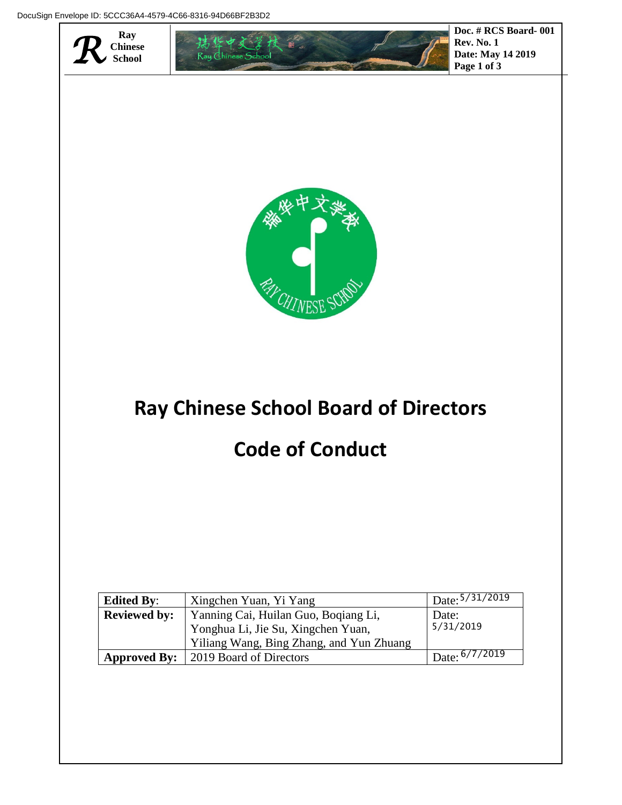

## **Ray Chinese School Board of Directors**

## **Code of Conduct**

| <b>Edited By:</b>   | Xingchen Yuan, Yi Yang                                                                                                 | $1$ Date: $5/31/2019$  |
|---------------------|------------------------------------------------------------------------------------------------------------------------|------------------------|
| <b>Reviewed by:</b> | Yanning Cai, Huilan Guo, Boqiang Li,<br>Yonghua Li, Jie Su, Xingchen Yuan,<br>Yiliang Wang, Bing Zhang, and Yun Zhuang | Date:<br>5/31/2019     |
|                     |                                                                                                                        |                        |
| <b>Approved By:</b> | 2019 Board of Directors                                                                                                | $\mu$ Date: $6/7/2019$ |

**Date: May 14 2019**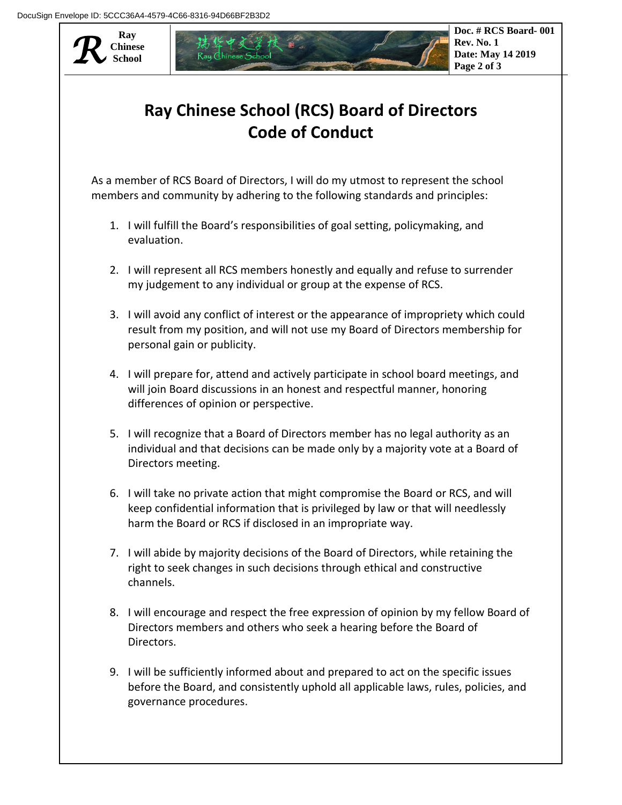